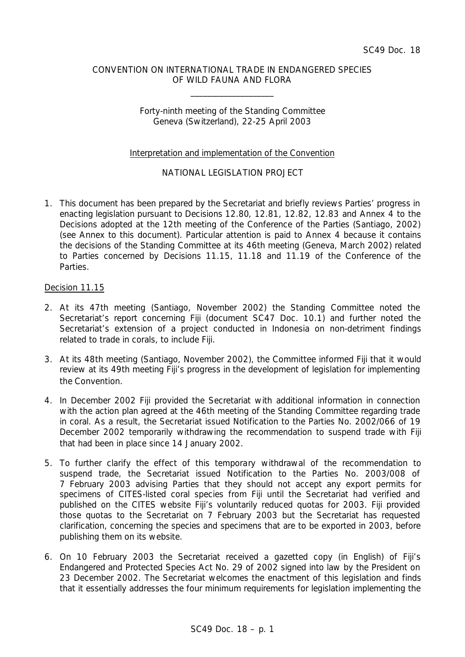## CONVENTION ON INTERNATIONAL TRADE IN ENDANGERED SPECIES OF WILD FAUNA AND FLORA

\_\_\_\_\_\_\_\_\_\_\_\_\_\_\_\_\_\_\_\_

## Forty-ninth meeting of the Standing Committee Geneva (Switzerland), 22-25 April 2003

## Interpretation and implementation of the Convention

# NATIONAL LEGISLATION PROJECT

1. This document has been prepared by the Secretariat and briefly reviews Parties' progress in enacting legislation pursuant to Decisions 12.80, 12.81, 12.82, 12.83 and Annex 4 to the Decisions adopted at the 12th meeting of the Conference of the Parties (Santiago, 2002) (see Annex to this document). Particular attention is paid to Annex 4 because it contains the decisions of the Standing Committee at its 46th meeting (Geneva, March 2002) related to Parties concerned by Decisions 11.15, 11.18 and 11.19 of the Conference of the Parties.

## Decision 11.15

- 2. At its 47th meeting (Santiago, November 2002) the Standing Committee noted the Secretariat's report concerning Fiji (document SC47 Doc. 10.1) and further noted the Secretariat's extension of a project conducted in Indonesia on non-detriment findings related to trade in corals, to include Fiji.
- 3. At its 48th meeting (Santiago, November 2002), the Committee informed Fiji that it would review at its 49th meeting Fiji's progress in the development of legislation for implementing the Convention.
- 4. In December 2002 Fiji provided the Secretariat with additional information in connection with the action plan agreed at the 46th meeting of the Standing Committee regarding trade in coral. As a result, the Secretariat issued Notification to the Parties No. 2002/066 of 19 December 2002 temporarily withdrawing the recommendation to suspend trade with Fiji that had been in place since 14 January 2002.
- 5. To further clarify the effect of this temporary withdrawal of the recommendation to suspend trade, the Secretariat issued Notification to the Parties No. 2003/008 of 7 February 2003 advising Parties that they should not accept any export permits for specimens of CITES-listed coral species from Fiji until the Secretariat had verified and published on the CITES website Fiji's voluntarily reduced quotas for 2003. Fiji provided those quotas to the Secretariat on 7 February 2003 but the Secretariat has requested clarification, concerning the species and specimens that are to be exported in 2003, before publishing them on its website.
- 6. On 10 February 2003 the Secretariat received a gazetted copy (in English) of Fiji's Endangered and Protected Species Act No. 29 of 2002 signed into law by the President on 23 December 2002. The Secretariat welcomes the enactment of this legislation and finds that it essentially addresses the four minimum requirements for legislation implementing the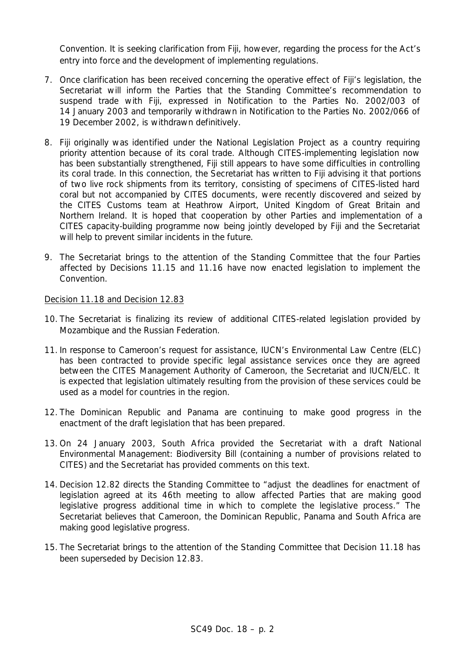Convention. It is seeking clarification from Fiji, however, regarding the process for the Act's entry into force and the development of implementing regulations.

- 7. Once clarification has been received concerning the operative effect of Fiji's legislation, the Secretariat will inform the Parties that the Standing Committee's recommendation to suspend trade with Fiji, expressed in Notification to the Parties No. 2002/003 of 14 January 2003 and temporarily withdrawn in Notification to the Parties No. 2002/066 of 19 December 2002, is withdrawn definitively.
- 8. Fiji originally was identified under the National Legislation Project as a country requiring priority attention because of its coral trade. Although CITES-implementing legislation now has been substantially strengthened, Fiji still appears to have some difficulties in controlling its coral trade. In this connection, the Secretariat has written to Fiji advising it that portions of two live rock shipments from its territory, consisting of specimens of CITES-listed hard coral but not accompanied by CITES documents, were recently discovered and seized by the CITES Customs team at Heathrow Airport, United Kingdom of Great Britain and Northern Ireland. It is hoped that cooperation by other Parties and implementation of a CITES capacity-building programme now being jointly developed by Fiji and the Secretariat will help to prevent similar incidents in the future.
- 9. The Secretariat brings to the attention of the Standing Committee that the four Parties affected by Decisions 11.15 and 11.16 have now enacted legislation to implement the Convention.

## Decision 11.18 and Decision 12.83

- 10. The Secretariat is finalizing its review of additional CITES-related legislation provided by Mozambique and the Russian Federation.
- 11. In response to Cameroon's request for assistance, IUCN's Environmental Law Centre (ELC) has been contracted to provide specific legal assistance services once they are agreed between the CITES Management Authority of Cameroon, the Secretariat and IUCN/ELC. It is expected that legislation ultimately resulting from the provision of these services could be used as a model for countries in the region.
- 12. The Dominican Republic and Panama are continuing to make good progress in the enactment of the draft legislation that has been prepared.
- 13. On 24 January 2003, South Africa provided the Secretariat with a draft National Environmental Management: Biodiversity Bill (containing a number of provisions related to CITES) and the Secretariat has provided comments on this text.
- 14. Decision 12.82 directs the Standing Committee to "adjust the deadlines for enactment of legislation agreed at its 46th meeting to allow affected Parties that are making good legislative progress additional time in which to complete the legislative process." The Secretariat believes that Cameroon, the Dominican Republic, Panama and South Africa are making good legislative progress.
- 15. The Secretariat brings to the attention of the Standing Committee that Decision 11.18 has been superseded by Decision 12.83.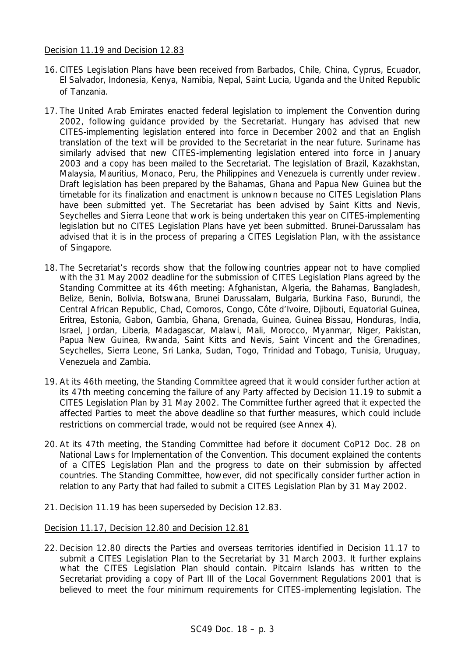## Decision 11.19 and Decision 12.83

- 16. CITES Legislation Plans have been received from Barbados, Chile, China, Cyprus, Ecuador, El Salvador, Indonesia, Kenya, Namibia, Nepal, Saint Lucia, Uganda and the United Republic of Tanzania.
- 17. The United Arab Emirates enacted federal legislation to implement the Convention during 2002, following guidance provided by the Secretariat. Hungary has advised that new CITES-implementing legislation entered into force in December 2002 and that an English translation of the text will be provided to the Secretariat in the near future. Suriname has similarly advised that new CITES-implementing legislation entered into force in January 2003 and a copy has been mailed to the Secretariat. The legislation of Brazil, Kazakhstan, Malaysia, Mauritius, Monaco, Peru, the Philippines and Venezuela is currently under review. Draft legislation has been prepared by the Bahamas, Ghana and Papua New Guinea but the timetable for its finalization and enactment is unknown because no CITES Legislation Plans have been submitted yet. The Secretariat has been advised by Saint Kitts and Nevis, Seychelles and Sierra Leone that work is being undertaken this year on CITES-implementing legislation but no CITES Legislation Plans have yet been submitted. Brunei-Darussalam has advised that it is in the process of preparing a CITES Legislation Plan, with the assistance of Singapore.
- 18. The Secretariat's records show that the following countries appear not to have complied with the 31 May 2002 deadline for the submission of CITES Legislation Plans agreed by the Standing Committee at its 46th meeting: Afghanistan, Algeria, the Bahamas, Bangladesh, Belize, Benin, Bolivia, Botswana, Brunei Darussalam, Bulgaria, Burkina Faso, Burundi, the Central African Republic, Chad, Comoros, Congo, Côte d'Ivoire, Djibouti, Equatorial Guinea, Eritrea, Estonia, Gabon, Gambia, Ghana, Grenada, Guinea, Guinea Bissau, Honduras, India, Israel, Jordan, Liberia, Madagascar, Malawi, Mali, Morocco, Myanmar, Niger, Pakistan, Papua New Guinea, Rwanda, Saint Kitts and Nevis, Saint Vincent and the Grenadines, Seychelles, Sierra Leone, Sri Lanka, Sudan, Togo, Trinidad and Tobago, Tunisia, Uruguay, Venezuela and Zambia.
- 19. At its 46th meeting, the Standing Committee agreed that it would consider further action at its 47th meeting concerning the failure of any Party affected by Decision 11.19 to submit a CITES Legislation Plan by 31 May 2002. The Committee further agreed that it expected the affected Parties to meet the above deadline so that further measures, which could include restrictions on commercial trade, would not be required (see Annex 4).
- 20. At its 47th meeting, the Standing Committee had before it document CoP12 Doc. 28 on National Laws for Implementation of the Convention. This document explained the contents of a CITES Legislation Plan and the progress to date on their submission by affected countries. The Standing Committee, however, did not specifically consider further action in relation to any Party that had failed to submit a CITES Legislation Plan by 31 May 2002.
- 21. Decision 11.19 has been superseded by Decision 12.83.

## Decision 11.17, Decision 12.80 and Decision 12.81

22. Decision 12.80 directs the Parties and overseas territories identified in Decision 11.17 to submit a CITES Legislation Plan to the Secretariat by 31 March 2003. It further explains what the CITES Legislation Plan should contain. Pitcairn Islands has written to the Secretariat providing a copy of Part III of the Local Government Regulations 2001 that is believed to meet the four minimum requirements for CITES-implementing legislation. The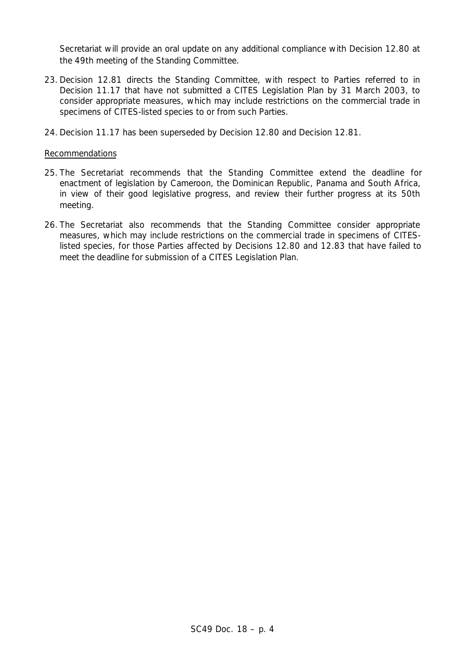Secretariat will provide an oral update on any additional compliance with Decision 12.80 at the 49th meeting of the Standing Committee.

- 23. Decision 12.81 directs the Standing Committee, with respect to Parties referred to in Decision 11.17 that have not submitted a CITES Legislation Plan by 31 March 2003, to consider appropriate measures, which may include restrictions on the commercial trade in specimens of CITES-listed species to or from such Parties.
- 24. Decision 11.17 has been superseded by Decision 12.80 and Decision 12.81.

## Recommendations

- 25. The Secretariat recommends that the Standing Committee extend the deadline for enactment of legislation by Cameroon, the Dominican Republic, Panama and South Africa, in view of their good legislative progress, and review their further progress at its 50th meeting.
- 26. The Secretariat also recommends that the Standing Committee consider appropriate measures, which may include restrictions on the commercial trade in specimens of CITESlisted species, for those Parties affected by Decisions 12.80 and 12.83 that have failed to meet the deadline for submission of a CITES Legislation Plan.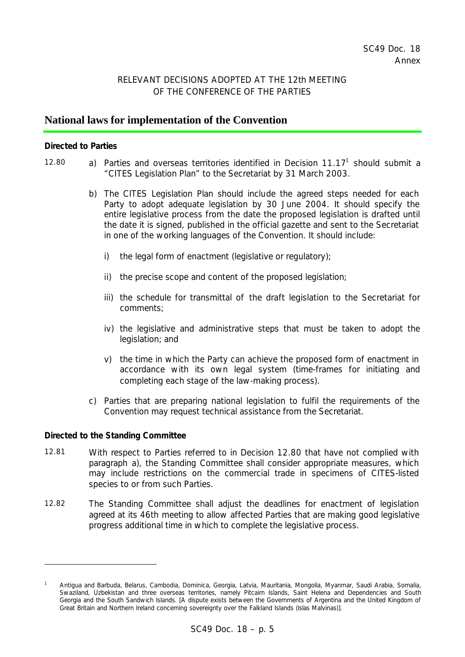# RELEVANT DECISIONS ADOPTED AT THE 12th MEETING OF THE CONFERENCE OF THE PARTIES

# **National laws for implementation of the Convention**

#### *Directed to Parties*

- 12.80  $\qquad$  a) Parties and overseas territories identified in Decision 11.17<sup>1</sup> should submit a "CITES Legislation Plan" to the Secretariat by 31 March 2003.
	- b) The CITES Legislation Plan should include the agreed steps needed for each Party to adopt adequate legislation by 30 June 2004. It should specify the entire legislative process from the date the proposed legislation is drafted until the date it is signed, published in the official gazette and sent to the Secretariat in one of the working languages of the Convention. It should include:
		- i) the legal form of enactment (legislative or regulatory);
		- ii) the precise scope and content of the proposed legislation;
		- iii) the schedule for transmittal of the draft legislation to the Secretariat for comments;
		- iv) the legislative and administrative steps that must be taken to adopt the legislation; and
		- v) the time in which the Party can achieve the proposed form of enactment in accordance with its own legal system (time-frames for initiating and completing each stage of the law-making process).
	- c) Parties that are preparing national legislation to fulfil the requirements of the Convention may request technical assistance from the Secretariat.

#### *Directed to the Standing Committee*

ł

- 12.81 With respect to Parties referred to in Decision 12.80 that have not complied with paragraph a), the Standing Committee shall consider appropriate measures, which may include restrictions on the commercial trade in specimens of CITES-listed species to or from such Parties.
- 12.82 The Standing Committee shall adjust the deadlines for enactment of legislation agreed at its 46th meeting to allow affected Parties that are making good legislative progress additional time in which to complete the legislative process.

*<sup>1</sup> Antigua and Barbuda, Belarus, Cambodia, Dominica, Georgia, Latvia, Mauritania, Mongolia, Myanmar, Saudi Arabia, Somalia, Swaziland, Uzbekistan and three overseas territories, namely Pitcairn Islands, Saint Helena and Dependencies and South Georgia and the South Sandwich Islands. [A dispute exists between the Governments of Argentina and the United Kingdom of Great Britain and Northern Ireland concerning sovereignty over the Falkland Islands (Islas Malvinas)].*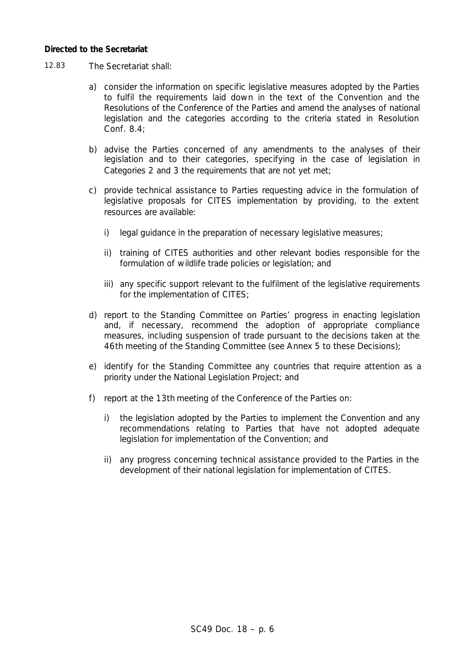## *Directed to the Secretariat*

- 12.83 The Secretariat shall:
	- a) consider the information on specific legislative measures adopted by the Parties to fulfil the requirements laid down in the text of the Convention and the Resolutions of the Conference of the Parties and amend the analyses of national legislation and the categories according to the criteria stated in Resolution Conf. 8.4;
	- b) advise the Parties concerned of any amendments to the analyses of their legislation and to their categories, specifying in the case of legislation in Categories 2 and 3 the requirements that are not yet met;
	- c) provide technical assistance to Parties requesting advice in the formulation of legislative proposals for CITES implementation by providing, to the extent resources are available:
		- i) legal guidance in the preparation of necessary legislative measures;
		- ii) training of CITES authorities and other relevant bodies responsible for the formulation of wildlife trade policies or legislation; and
		- iii) any specific support relevant to the fulfilment of the legislative requirements for the implementation of CITES;
	- d) report to the Standing Committee on Parties' progress in enacting legislation and, if necessary, recommend the adoption of appropriate compliance measures, including suspension of trade pursuant to the decisions taken at the 46th meeting of the Standing Committee (see Annex 5 to these Decisions);
	- e) identify for the Standing Committee any countries that require attention as a priority under the National Legislation Project; and
	- f) report at the 13th meeting of the Conference of the Parties on:
		- i) the legislation adopted by the Parties to implement the Convention and any recommendations relating to Parties that have not adopted adequate legislation for implementation of the Convention; and
		- ii) any progress concerning technical assistance provided to the Parties in the development of their national legislation for implementation of CITES.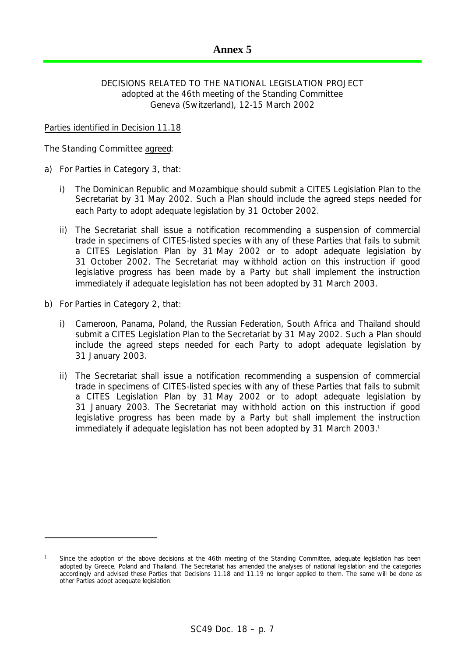# DECISIONS RELATED TO THE NATIONAL LEGISLATION PROJECT adopted at the 46th meeting of the Standing Committee Geneva (Switzerland), 12-15 March 2002

## Parties identified in Decision 11.18

The Standing Committee agreed:

- a) For Parties in Category 3, that:
	- i) The Dominican Republic and Mozambique should submit a CITES Legislation Plan to the Secretariat by 31 May 2002. Such a Plan should include the agreed steps needed for each Party to adopt adequate legislation by 31 October 2002.
	- ii) The Secretariat shall issue a notification recommending a suspension of commercial trade in specimens of CITES-listed species with any of these Parties that fails to submit a CITES Legislation Plan by 31 May 2002 or to adopt adequate legislation by 31 October 2002. The Secretariat may withhold action on this instruction if good legislative progress has been made by a Party but shall implement the instruction immediately if adequate legislation has not been adopted by 31 March 2003.
- b) For Parties in Category 2, that:

ł

- i) Cameroon, Panama, Poland, the Russian Federation, South Africa and Thailand should submit a CITES Legislation Plan to the Secretariat by 31 May 2002. Such a Plan should include the agreed steps needed for each Party to adopt adequate legislation by 31 January 2003.
- ii) The Secretariat shall issue a notification recommending a suspension of commercial trade in specimens of CITES-listed species with any of these Parties that fails to submit a CITES Legislation Plan by 31 May 2002 or to adopt adequate legislation by 31 January 2003. The Secretariat may withhold action on this instruction if good legislative progress has been made by a Party but shall implement the instruction immediately if adequate legislation has not been adopted by 31 March 2003.<sup>1</sup>

<sup>1</sup> *Since the adoption of the above decisions at the 46th meeting of the Standing Committee, adequate legislation has been adopted by Greece, Poland and Thailand. The Secretariat has amended the analyses of national legislation and the categories accordingly and advised these Parties that Decisions 11.18 and 11.19 no longer applied to them. The same will be done as other Parties adopt adequate legislation.*